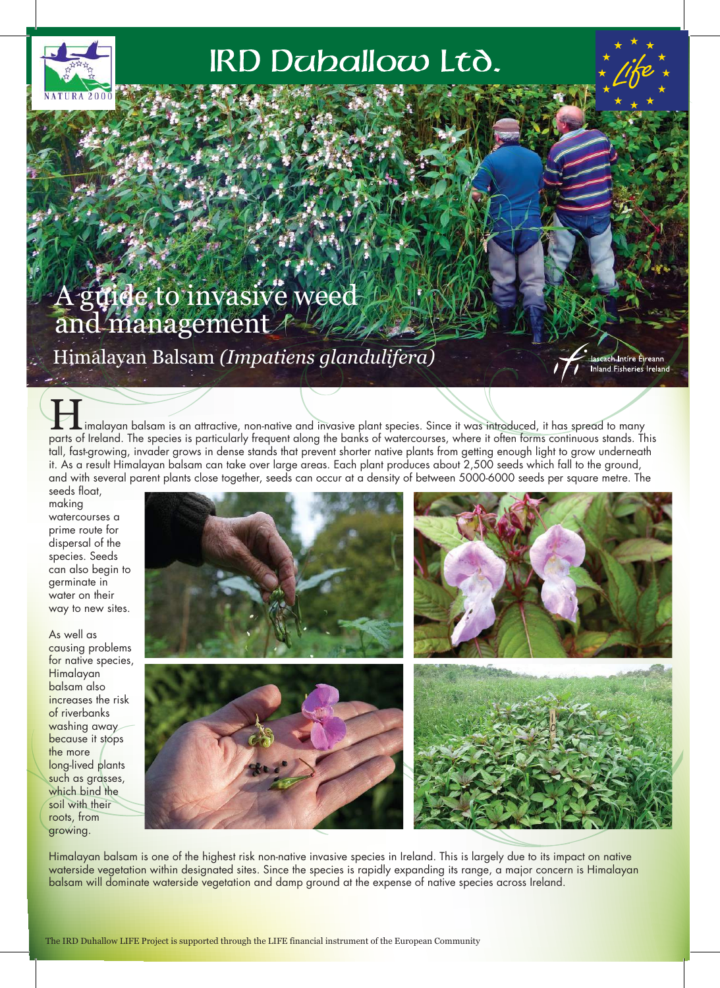

# IRD Daballow Ltd.

## A guide to invasive weed and management

Himalayan Balsam *(Impatiens glandulifera)*

ıch **I**ntíre Éjreann **Inland Fisheries Ireland** 

Limalayan balsam is an attractive, non-native and invasive plant species. Since it was introduced, it has spread to many parts of Ireland. The species is particularly frequent along the banks of watercourses, where it often forms continuous stands. This tall, fast-growing, invader grows in dense stands that prevent shorter native plants from getting enough light to grow underneath it. As a result Himalayan balsam can take over large areas. Each plant produces about 2,500 seeds which fall to the ground, and with several parent plants close together, seeds can occur at a density of between 5000-6000 seeds per square metre. The

seeds float, making watercourses a prime route for dispersal of the species. Seeds can also begin to germinate in water on their way to new sites.

As well as causing problems for native species, Himalayan balsam also increases the risk of riverbanks washing away because it stops the more long-lived plants such as grasses, which bind the soil with their roots, from growing.



Himalayan balsam is one of the highest risk non-native invasive species in Ireland. This is largely due to its impact on native waterside vegetation within designated sites. Since the species is rapidly expanding its range, a major concern is Himalayan balsam will dominate waterside vegetation and damp ground at the expense of native species across Ireland.